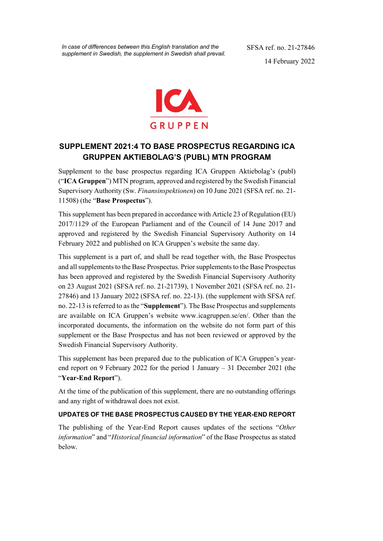*In case of differences between this English translation and the supplement in Swedish, the supplement in Swedish shall prevail.*  SFSA ref. no. 21-27846 14 February 2022



# **SUPPLEMENT 2021:4 TO BASE PROSPECTUS REGARDING ICA GRUPPEN AKTIEBOLAG'S (PUBL) MTN PROGRAM**

Supplement to the base prospectus regarding ICA Gruppen Aktiebolag's (publ) ("**ICA Gruppen**") MTN program, approved and registered by the Swedish Financial Supervisory Authority (Sw. *Finansinspektionen*) on 10 June 2021 (SFSA ref. no. 21- 11508) (the "**Base Prospectus**").

This supplement has been prepared in accordance with Article 23 of Regulation (EU) 2017/1129 of the European Parliament and of the Council of 14 June 2017 and approved and registered by the Swedish Financial Supervisory Authority on 14 February 2022 and published on ICA Gruppen's website the same day.

This supplement is a part of, and shall be read together with, the Base Prospectus and all supplements to the Base Prospectus. Prior supplements to the Base Prospectus has been approved and registered by the Swedish Financial Supervisory Authority on 23 August 2021 (SFSA ref. no. 21-21739), 1 November 2021 (SFSA ref. no. 21- 27846) and 13 January 2022 (SFSA ref. no. 22-13). (the supplement with SFSA ref. no. 22-13 is referred to as the "**Supplement**"). The Base Prospectus and supplements are available on ICA Gruppen's website www.icagruppen.se/en/. Other than the incorporated documents, the information on the website do not form part of this supplement or the Base Prospectus and has not been reviewed or approved by the Swedish Financial Supervisory Authority.

This supplement has been prepared due to the publication of ICA Gruppen's yearend report on 9 February 2022 for the period 1 January – 31 December 2021 (the "**Year-End Report**").

At the time of the publication of this supplement, there are no outstanding offerings and any right of withdrawal does not exist.

## **UPDATES OF THE BASE PROSPECTUS CAUSED BY THE YEAR-END REPORT**

The publishing of the Year-End Report causes updates of the sections "*Other information*" and "*Historical financial information*" of the Base Prospectus as stated below.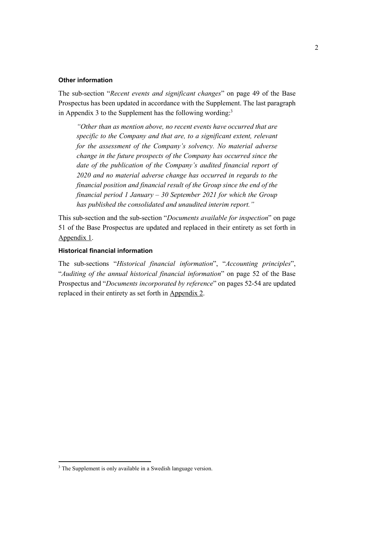#### **Other information**

The sub-section "*Recent events and significant changes*" on page 49 of the Base Prospectus has been updated in accordance with the Supplement. The last paragraph in Appendix 3 to the Supplement has the following wording: $3$ 

*"Other than as mention above, no recent events have occurred that are specific to the Company and that are, to a significant extent, relevant for the assessment of the Company's solvency. No material adverse change in the future prospects of the Company has occurred since the date of the publication of the Company's audited financial report of 2020 and no material adverse change has occurred in regards to the financial position and financial result of the Group since the end of the financial period 1 January – 30 September 2021 for which the Group has published the consolidated and unaudited interim report."* 

This sub-section and the sub-section "*Documents available for inspection*" on page 51 of the Base Prospectus are updated and replaced in their entirety as set forth in Appendix 1.

## **Historical financial information**

The sub-sections "*Historical financial information*", "*Accounting principles*", "*Auditing of the annual historical financial information*" on page 52 of the Base Prospectus and "*Documents incorporated by reference*" on pages 52-54 are updated replaced in their entirety as set forth in Appendix 2.

-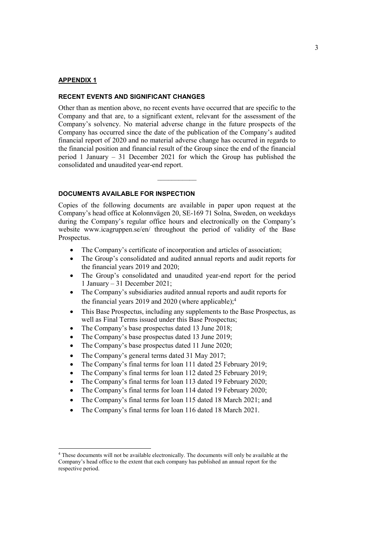#### **APPENDIX 1**

-

#### **RECENT EVENTS AND SIGNIFICANT CHANGES**

Other than as mention above, no recent events have occurred that are specific to the Company and that are, to a significant extent, relevant for the assessment of the Company's solvency. No material adverse change in the future prospects of the Company has occurred since the date of the publication of the Company's audited financial report of 2020 and no material adverse change has occurred in regards to the financial position and financial result of the Group since the end of the financial period 1 January – 31 December 2021 for which the Group has published the consolidated and unaudited year-end report.

 $\mathcal{L}_\text{max}$ 

## **DOCUMENTS AVAILABLE FOR INSPECTION**

Copies of the following documents are available in paper upon request at the Company's head office at Kolonnvägen 20, SE-169 71 Solna, Sweden, on weekdays during the Company's regular office hours and electronically on the Company's website www.icagruppen.se/en/ throughout the period of validity of the Base Prospectus.

- The Company's certificate of incorporation and articles of association;
- The Group's consolidated and audited annual reports and audit reports for the financial years 2019 and 2020;
- The Group's consolidated and unaudited year-end report for the period 1 January – 31 December 2021;
- The Company's subsidiaries audited annual reports and audit reports for the financial years 2019 and 2020 (where applicable);<sup>4</sup>
- This Base Prospectus, including any supplements to the Base Prospectus, as well as Final Terms issued under this Base Prospectus;
- The Company's base prospectus dated 13 June 2018;
- The Company's base prospectus dated 13 June 2019;
- The Company's base prospectus dated 11 June 2020;
- The Company's general terms dated 31 May 2017;
- The Company's final terms for loan 111 dated 25 February 2019;
- The Company's final terms for loan 112 dated 25 February 2019;
- The Company's final terms for loan 113 dated 19 February 2020;
- The Company's final terms for loan 114 dated 19 February 2020;
- The Company's final terms for loan 115 dated 18 March 2021; and
- The Company's final terms for loan 116 dated 18 March 2021.

<sup>4</sup> These documents will not be available electronically. The documents will only be available at the Company's head office to the extent that each company has published an annual report for the respective period.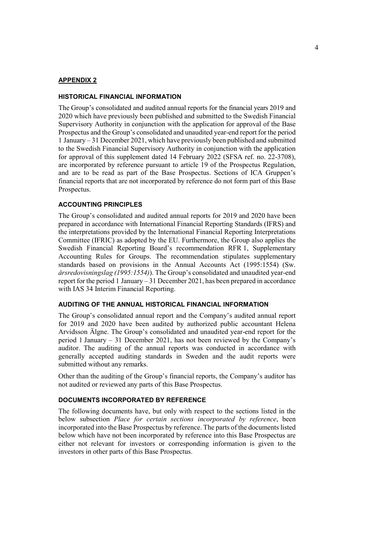#### **APPENDIX 2**

#### **HISTORICAL FINANCIAL INFORMATION**

The Group's consolidated and audited annual reports for the financial years 2019 and 2020 which have previously been published and submitted to the Swedish Financial Supervisory Authority in conjunction with the application for approval of the Base Prospectus and the Group's consolidated and unaudited year-end report for the period 1 January – 31 December 2021, which have previously been published and submitted to the Swedish Financial Supervisory Authority in conjunction with the application for approval of this supplement dated 14 February 2022 (SFSA ref. no. 22-3708), are incorporated by reference pursuant to article 19 of the Prospectus Regulation, and are to be read as part of the Base Prospectus. Sections of ICA Gruppen's financial reports that are not incorporated by reference do not form part of this Base Prospectus.

## **ACCOUNTING PRINCIPLES**

The Group's consolidated and audited annual reports for 2019 and 2020 have been prepared in accordance with International Financial Reporting Standards (IFRS) and the interpretations provided by the International Financial Reporting Interpretations Committee (IFRIC) as adopted by the EU. Furthermore, the Group also applies the Swedish Financial Reporting Board's recommendation RFR 1, Supplementary Accounting Rules for Groups. The recommendation stipulates supplementary standards based on provisions in the Annual Accounts Act (1995:1554) (Sw. *årsredovisningslag (1995:1554)*). The Group's consolidated and unaudited year-end report for the period 1 January – 31 December 2021, has been prepared in accordance with IAS 34 Interim Financial Reporting.

#### **AUDITING OF THE ANNUAL HISTORICAL FINANCIAL INFORMATION**

The Group's consolidated annual report and the Company's audited annual report for 2019 and 2020 have been audited by authorized public accountant Helena Arvidsson Älgne. The Group's consolidated and unaudited year-end report for the period 1 January – 31 December 2021, has not been reviewed by the Company's auditor. The auditing of the annual reports was conducted in accordance with generally accepted auditing standards in Sweden and the audit reports were submitted without any remarks.

Other than the auditing of the Group's financial reports, the Company's auditor has not audited or reviewed any parts of this Base Prospectus.

## **DOCUMENTS INCORPORATED BY REFERENCE**

The following documents have, but only with respect to the sections listed in the below subsection *Place for certain sections incorporated by reference*, been incorporated into the Base Prospectus by reference. The parts of the documents listed below which have not been incorporated by reference into this Base Prospectus are either not relevant for investors or corresponding information is given to the investors in other parts of this Base Prospectus.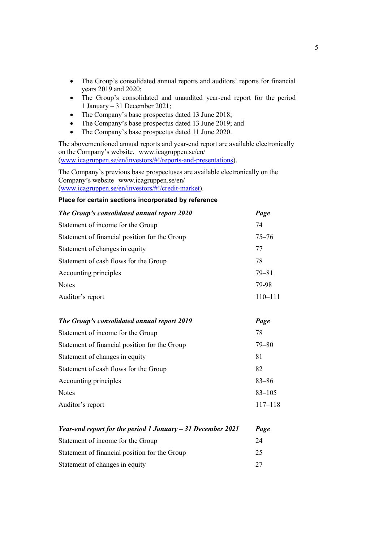- The Group's consolidated annual reports and auditors' reports for financial years 2019 and 2020;
- The Group's consolidated and unaudited year-end report for the period 1 January – 31 December 2021;
- The Company's base prospectus dated 13 June 2018;
- The Company's base prospectus dated 13 June 2019; and
- The Company's base prospectus dated 11 June 2020.

The abovementioned annual reports and year-end report are available electronically on the Company's website, www.icagruppen.se/en/ (www.icagruppen.se/en/investors/#!/reports-and-presentations).

The Company's previous base prospectuses are available electronically on the Company's website www.icagruppen.se/en/ (www.icagruppen.se/en/investors/#!/credit-market).

#### **Place for certain sections incorporated by reference**

| The Group's consolidated annual report 2020   | Page        |
|-----------------------------------------------|-------------|
| Statement of income for the Group             | 74          |
| Statement of financial position for the Group | $75 - 76$   |
| Statement of changes in equity                | 77          |
| Statement of cash flows for the Group         | 78          |
| Accounting principles                         | $79 - 81$   |
| <b>Notes</b>                                  | 79-98       |
| Auditor's report                              | $110 - 111$ |

| The Group's consolidated annual report 2019   | Page        |
|-----------------------------------------------|-------------|
| 78<br>Statement of income for the Group       |             |
| Statement of financial position for the Group | $79 - 80$   |
| 81<br>Statement of changes in equity          |             |
| 82<br>Statement of cash flows for the Group   |             |
| Accounting principles                         | $83 - 86$   |
| <b>Notes</b>                                  | $83 - 105$  |
| Auditor's report                              | $117 - 118$ |

| Year-end report for the period 1 January $-31$ December 2021 |    |
|--------------------------------------------------------------|----|
| Statement of income for the Group                            | 24 |
| Statement of financial position for the Group                | 25 |
| Statement of changes in equity                               | 27 |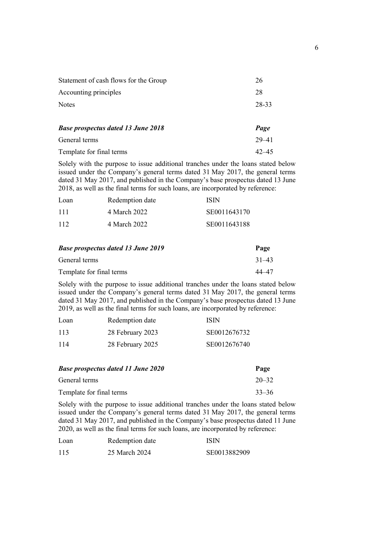| Statement of cash flows for the Group     | 26        |
|-------------------------------------------|-----------|
| Accounting principles                     | 28        |
| <b>Notes</b>                              | 28-33     |
|                                           |           |
| <b>Base prospectus dated 13 June 2018</b> | Page      |
| General terms                             | $29 - 41$ |
| Template for final terms                  | $42 - 45$ |

Solely with the purpose to issue additional tranches under the loans stated below issued under the Company's general terms dated 31 May 2017, the general terms dated 31 May 2017, and published in the Company's base prospectus dated 13 June 2018, as well as the final terms for such loans, are incorporated by reference:

| Loan | Redemption date | <b>ISIN</b>  |
|------|-----------------|--------------|
| 111  | 4 March 2022    | SE0011643170 |
| 112  | 4 March 2022    | SE0011643188 |

| <b>Base prospectus dated 13 June 2019</b> | Page      |
|-------------------------------------------|-----------|
| General terms                             | $31 - 43$ |
| Template for final terms                  | 44–47     |

Solely with the purpose to issue additional tranches under the loans stated below issued under the Company's general terms dated 31 May 2017, the general terms dated 31 May 2017, and published in the Company's base prospectus dated 13 June 2019, as well as the final terms for such loans, are incorporated by reference:

| Loan | Redemption date  | ISIN         |
|------|------------------|--------------|
| 113  | 28 February 2023 | SE0012676732 |
| 114  | 28 February 2025 | SE0012676740 |

| <b>Base prospectus dated 11 June 2020</b> |           |
|-------------------------------------------|-----------|
| General terms                             | $20 - 32$ |
| Template for final terms                  | $33 - 36$ |

Solely with the purpose to issue additional tranches under the loans stated below issued under the Company's general terms dated 31 May 2017, the general terms dated 31 May 2017, and published in the Company's base prospectus dated 11 June 2020, as well as the final terms for such loans, are incorporated by reference:

| Loan | Redemption date | ISIN         |
|------|-----------------|--------------|
| 115  | 25 March 2024   | SE0013882909 |